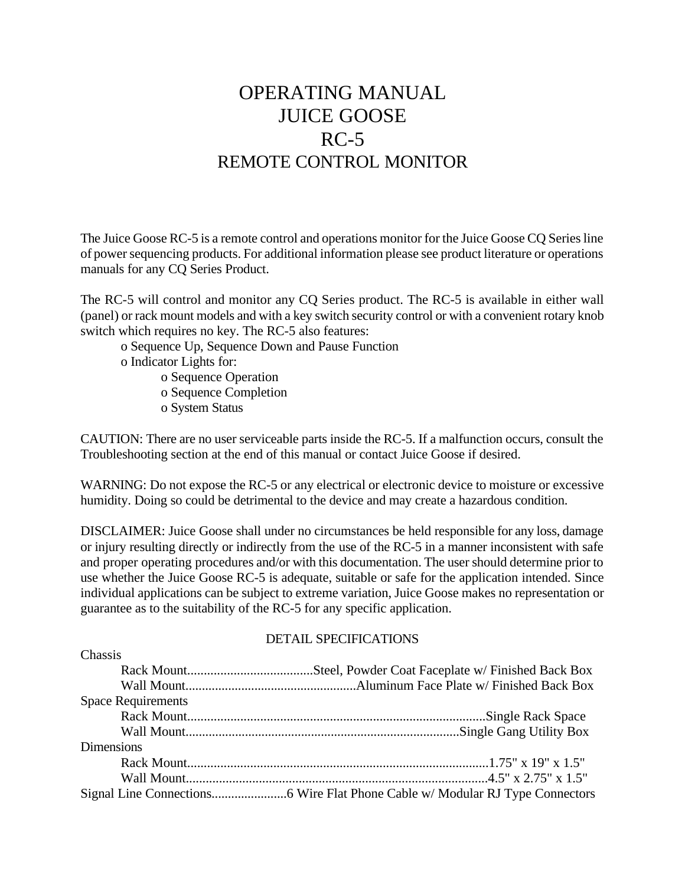# OPERATING MANUAL JUICE GOOSE  $RC-5$ REMOTE CONTROL MONITOR

The Juice Goose RC-5 is a remote control and operations monitor for the Juice Goose CQ Series line of power sequencing products. For additional information please see product literature or operations manuals for any CQ Series Product.

The RC-5 will control and monitor any CQ Series product. The RC-5 is available in either wall (panel) or rack mount models and with a key switch security control or with a convenient rotary knob switch which requires no key. The RC-5 also features:

o Sequence Up, Sequence Down and Pause Function

o Indicator Lights for:

 $\mathbf{C}$ <sup>1</sup>

o Sequence Operation

o Sequence Completion

o System Status

CAUTION: There are no user serviceable parts inside the RC-5. If a malfunction occurs, consult the Troubleshooting section at the end of this manual or contact Juice Goose if desired.

WARNING: Do not expose the RC-5 or any electrical or electronic device to moisture or excessive humidity. Doing so could be detrimental to the device and may create a hazardous condition.

DISCLAIMER: Juice Goose shall under no circumstances be held responsible for any loss, damage or injury resulting directly or indirectly from the use of the RC-5 in a manner inconsistent with safe and proper operating procedures and/or with this documentation. The user should determine prior to use whether the Juice Goose RC-5 is adequate, suitable or safe for the application intended. Since individual applications can be subject to extreme variation, Juice Goose makes no representation or guarantee as to the suitability of the RC-5 for any specific application.

#### DETAIL SPECIFICATIONS

| <b>Chassis</b>            |  |
|---------------------------|--|
|                           |  |
|                           |  |
| <b>Space Requirements</b> |  |
|                           |  |
|                           |  |
| <b>Dimensions</b>         |  |
|                           |  |
|                           |  |
|                           |  |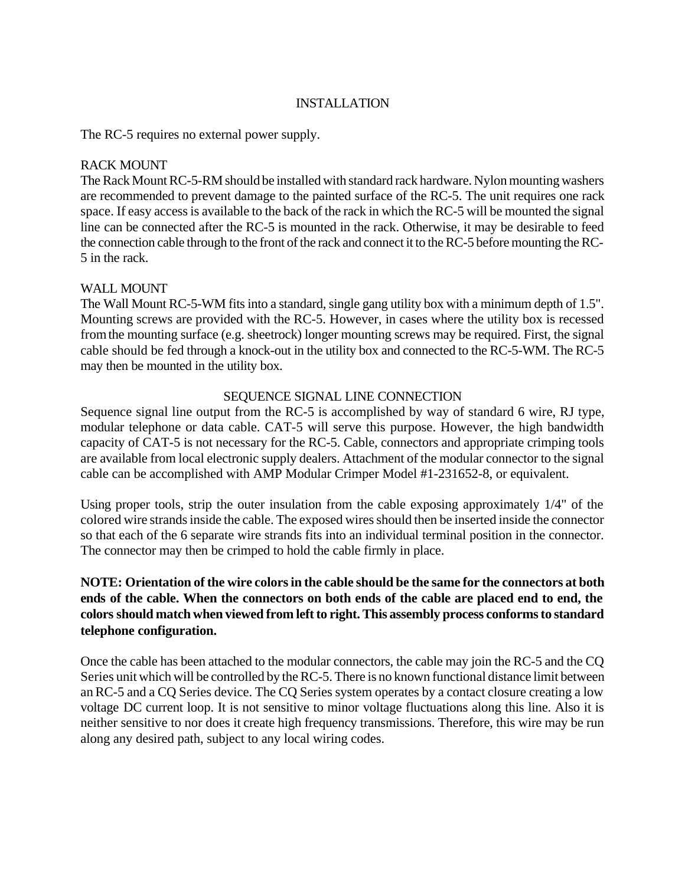### INSTALLATION

The RC-5 requires no external power supply.

#### RACK MOUNT

The Rack Mount RC-5-RM should be installed with standard rack hardware. Nylon mounting washers are recommended to prevent damage to the painted surface of the RC-5. The unit requires one rack space. If easy access is available to the back of the rack in which the RC-5 will be mounted the signal line can be connected after the RC-5 is mounted in the rack. Otherwise, it may be desirable to feed the connection cable through to the front of the rack and connect it to the RC-5 before mounting the RC-5 in the rack.

### WALL MOUNT

The Wall Mount RC-5-WM fits into a standard, single gang utility box with a minimum depth of 1.5". Mounting screws are provided with the RC-5. However, in cases where the utility box is recessed from the mounting surface (e.g. sheetrock) longer mounting screws may be required. First, the signal cable should be fed through a knock-out in the utility box and connected to the RC-5-WM. The RC-5 may then be mounted in the utility box.

### SEQUENCE SIGNAL LINE CONNECTION

Sequence signal line output from the RC-5 is accomplished by way of standard 6 wire, RJ type, modular telephone or data cable. CAT-5 will serve this purpose. However, the high bandwidth capacity of CAT-5 is not necessary for the RC-5. Cable, connectors and appropriate crimping tools are available from local electronic supply dealers. Attachment of the modular connector to the signal cable can be accomplished with AMP Modular Crimper Model #1-231652-8, or equivalent.

Using proper tools, strip the outer insulation from the cable exposing approximately 1/4" of the colored wire strands inside the cable. The exposed wires should then be inserted inside the connector so that each of the 6 separate wire strands fits into an individual terminal position in the connector. The connector may then be crimped to hold the cable firmly in place.

# **NOTE: Orientation of the wire colors in the cable should be the same for the connectors at both ends of the cable. When the connectors on both ends of the cable are placed end to end, the colors should match when viewed from left to right. This assembly process conforms to standard telephone configuration.**

Once the cable has been attached to the modular connectors, the cable may join the RC-5 and the CQ Series unit which will be controlled by the RC-5. There is no known functional distance limit between an RC-5 and a CQ Series device. The CQ Series system operates by a contact closure creating a low voltage DC current loop. It is not sensitive to minor voltage fluctuations along this line. Also it is neither sensitive to nor does it create high frequency transmissions. Therefore, this wire may be run along any desired path, subject to any local wiring codes.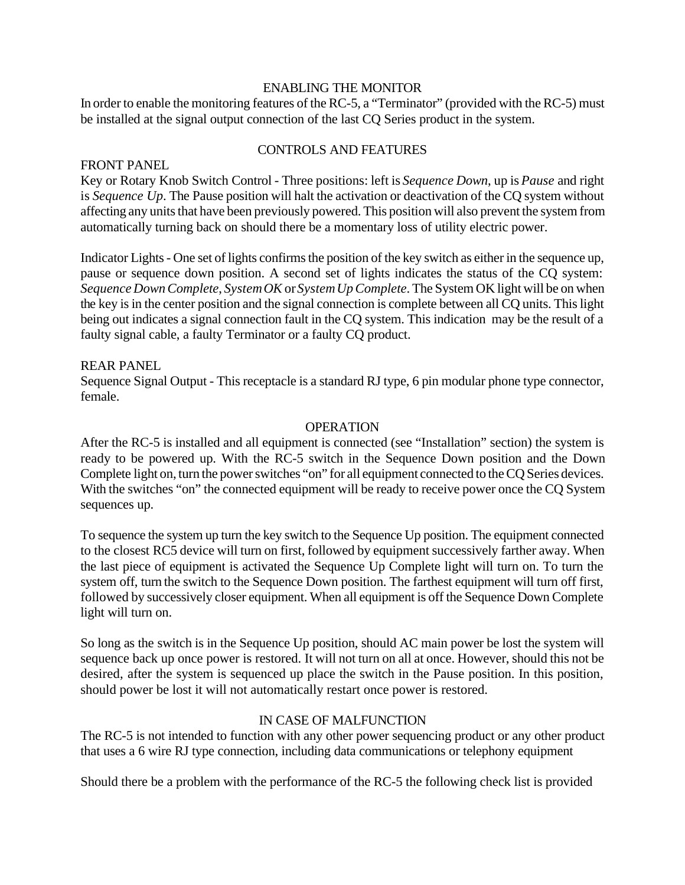#### ENABLING THE MONITOR

In order to enable the monitoring features of the RC-5, a "Terminator" (provided with the RC-5) must be installed at the signal output connection of the last CQ Series product in the system.

### CONTROLS AND FEATURES

### FRONT PANEL

Key or Rotary Knob Switch Control - Three positions: left is *Sequence Down*, up is *Pause* and right is *Sequence Up*. The Pause position will halt the activation or deactivation of the CQ system without affecting any units that have been previously powered. This position will also prevent the system from automatically turning back on should there be a momentary loss of utility electric power.

Indicator Lights - One set of lights confirms the position of the key switch as either in the sequence up, pause or sequence down position. A second set of lights indicates the status of the CQ system: *Sequence Down Complete*, *System OK* or *System Up Complete*. The System OK light will be on when the key is in the center position and the signal connection is complete between all CQ units. This light being out indicates a signal connection fault in the CQ system. This indication may be the result of a faulty signal cable, a faulty Terminator or a faulty CQ product.

### REAR PANEL

Sequence Signal Output - This receptacle is a standard RJ type, 6 pin modular phone type connector, female.

### **OPERATION**

After the RC-5 is installed and all equipment is connected (see "Installation" section) the system is ready to be powered up. With the RC-5 switch in the Sequence Down position and the Down Complete light on, turn the power switches "on" for all equipment connected to the CQ Series devices. With the switches "on" the connected equipment will be ready to receive power once the CQ System sequences up.

To sequence the system up turn the key switch to the Sequence Up position. The equipment connected to the closest RC5 device will turn on first, followed by equipment successively farther away. When the last piece of equipment is activated the Sequence Up Complete light will turn on. To turn the system off, turn the switch to the Sequence Down position. The farthest equipment will turn off first, followed by successively closer equipment. When all equipment is off the Sequence Down Complete light will turn on.

So long as the switch is in the Sequence Up position, should AC main power be lost the system will sequence back up once power is restored. It will not turn on all at once. However, should this not be desired, after the system is sequenced up place the switch in the Pause position. In this position, should power be lost it will not automatically restart once power is restored.

#### IN CASE OF MALFUNCTION

The RC-5 is not intended to function with any other power sequencing product or any other product that uses a 6 wire RJ type connection, including data communications or telephony equipment

Should there be a problem with the performance of the RC-5 the following check list is provided